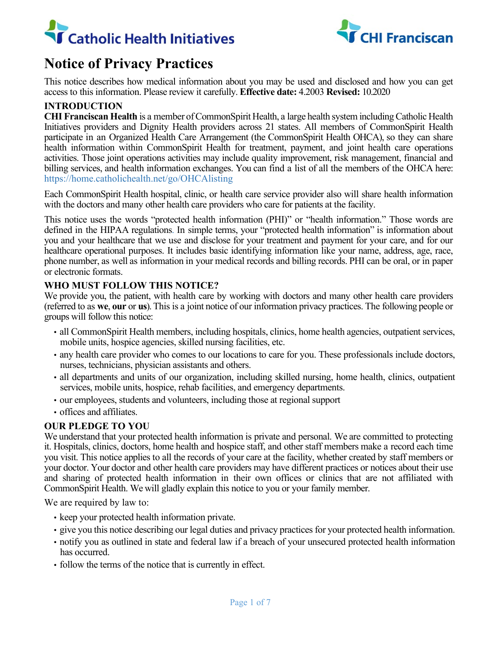



# **Notice of Privacy Practices**

This notice describes how medical information about you may be used and disclosed and how you can get access to this information. Please review it carefully. **Effective date:** 4.2003 **Revised:** 10.2020

## **INTRODUCTION**

**CHI Franciscan Health** is a member of CommonSpirit Health, a large health system including Catholic Health Initiatives providers and Dignity Health providers across 21 states. All members of CommonSpirit Health participate in an Organized Health Care Arrangement (the CommonSpirit Health OHCA), so they can share health information within CommonSpirit Health for treatment, payment, and joint health care operations activities. Those joint operations activities may include quality improvement, risk management, financial and billing services, and health information exchanges. You can find a list of all the members of the OHCA here: https://home.catholichealth.net/go/OHCAlisting

Each CommonSpirit Health hospital, clinic, or health care service provider also will share health information with the doctors and many other health care providers who care for patients at the facility.

This notice uses the words "protected health information (PHI)" or "health information." Those words are defined in the HIPAA regulations. In simple terms, your "protected health information" is information about you and your healthcare that we use and disclose for your treatment and payment for your care, and for our healthcare operational purposes. It includes basic identifying information like your name, address, age, race, phone number, as well as information in your medical records and billing records. PHI can be oral, or in paper or electronic formats.

#### **WHO MUST FOLLOW THIS NOTICE?**

We provide you, the patient, with health care by working with doctors and many other health care providers (referred to as **we**, **our** or **us**). This is a joint notice of our information privacy practices. The following people or groups will follow this notice:

- all CommonSpirit Health members, including hospitals, clinics, home health agencies, outpatient services, mobile units, hospice agencies, skilled nursing facilities, etc.
- any health care provider who comes to our locations to care for you. These professionals include doctors, nurses, technicians, physician assistants and others.
- all departments and units of our organization, including skilled nursing, home health, clinics, outpatient services, mobile units, hospice, rehab facilities, and emergency departments.
- our employees, students and volunteers, including those at regional support
- offices and affiliates.

## **OUR PLEDGE TO YOU**

We understand that your protected health information is private and personal. We are committed to protecting it. Hospitals, clinics, doctors, home health and hospice staff, and other staff members make a record each time you visit. This notice applies to all the records of your care at the facility, whether created by staff members or your doctor. Your doctor and other health care providers may have different practices or notices about their use and sharing of protected health information in their own offices or clinics that are not affiliated with CommonSpirit Health. We will gladly explain this notice to you or your family member.

We are required by law to:

- keep your protected health information private.
- give you this notice describing our legal duties and privacy practices for your protected health information.
- notify you as outlined in state and federal law if a breach of your unsecured protected health information has occurred.
- follow the terms of the notice that is currently in effect.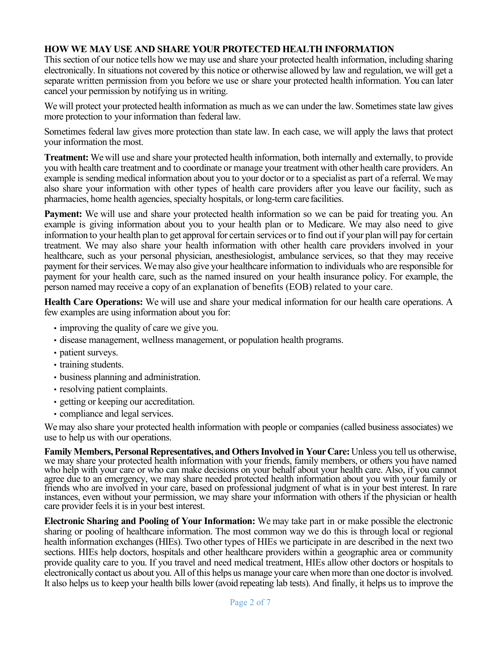# **HOW WE MAY USE AND SHARE YOUR PROTECTED HEALTH INFORMATION**

This section of our notice tells how we may use and share your protected health information, including sharing electronically. In situations not covered by this notice or otherwise allowed by law and regulation, we will get a separate written permission from you before we use or share your protected health information. You can later cancel your permission by notifying us in writing.

We will protect your protected health information as much as we can under the law. Sometimes state law gives more protection to your information than federal law.

Sometimes federal law gives more protection than state law. In each case, we will apply the laws that protect your information the most.

**Treatment:** We will use and share your protected health information, both internally and externally, to provide you with health care treatment and to coordinate or manage your treatment with other health care providers. An example is sending medical information about you to your doctor or to a specialist as part of a referral. We may also share your information with other types of health care providers after you leave our facility, such as pharmacies, home health agencies, specialty hospitals, or long-term carefacilities.

**Payment:** We will use and share your protected health information so we can be paid for treating you. An example is giving information about you to your health plan or to Medicare. We may also need to give information to your health plan to get approval for certain services or to find out if your plan will pay for certain treatment. We may also share your health information with other health care providers involved in your healthcare, such as your personal physician, anesthesiologist, ambulance services, so that they may receive payment for their services. We may also give your healthcare information to individuals who are responsible for payment for your health care, such as the named insured on your health insurance policy. For example, the person named may receive a copy of an explanation of benefits (EOB) related to your care.

**Health Care Operations:** We will use and share your medical information for our health care operations. A few examples are using information about you for:

- improving the quality of care we give you.
- disease management, wellness management, or population health programs.
- patient surveys.
- training students.
- business planning and administration.
- resolving patient complaints.
- getting or keeping our accreditation.
- compliance and legal services.

We may also share your protected health information with people or companies (called business associates) we use to help us with our operations.

**Family Members, Personal Representatives, and Others Involved in Your Care:** Unless you tell us otherwise, we may share your protected health information with your friends, family members, or others you have named who help with your care or who can make decisions on your behalf about your health care. Also, if you cannot agree due to an emergency, we may share needed protected health information about you with your family or friends who are involved in your care, based on professional judgment of what is in your best interest. In rare instances, even without your permission, we may share your information with others if the physician or health care provider feels it is in your best interest.

**Electronic Sharing and Pooling of Your Information:** We may take part in or make possible the electronic sharing or pooling of healthcare information. The most common way we do this is through local or regional health information exchanges (HIEs). Two other types of HIEs we participate in are described in the next two sections. HIEs help doctors, hospitals and other healthcare providers within a geographic area or community provide quality care to you. If you travel and need medical treatment, HIEs allow other doctors or hospitals to electronically contact us about you. All of this helps us manage your care when more than one doctor is involved. It also helps us to keep your health bills lower (avoid repeating lab tests). And finally, it helps us to improve the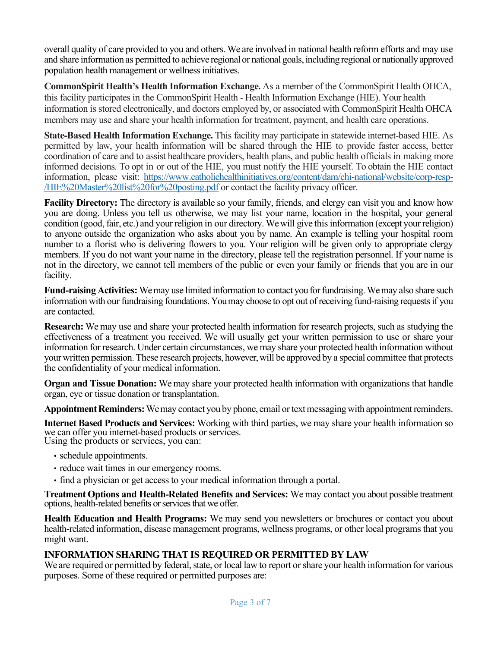overall quality of care provided to you and others. We are involved in national health reform efforts and may use and share information as permitted to achieve regional or national goals, including regional or nationally approved population health management or wellness initiatives.

**CommonSpirit Health's Health Information Exchange.** As a member of the CommonSpirit Health OHCA, this facility participates in the CommonSpirit Health - Health Information Exchange (HIE). Your health information is stored electronically, and doctors employed by, or associated with CommonSpirit Health OHCA members may use and share your health information for treatment, payment, and health care operations.

**State-Based Health Information Exchange.** This facility may participate in statewide internet-based HIE. As permitted by law, your health information will be shared through the HIE to provide faster access, better coordination of care and to assist healthcare providers, health plans, and public health officials in making more informed decisions. To opt in or out of the HIE, you must notify the HIE yourself. To obtain the HIE contact information, please visit: [https://www.catholichealthinitiatives.org/content/dam/chi-national/website/corp-resp-](https://www.catholichealthinitiatives.org/content/dam/chi-national/website/corp-resp-/HIE%20Master%20list%20for%20posting.pdf) [/HIE%20Master%20list%20for%20posting.pdf](https://www.catholichealthinitiatives.org/content/dam/chi-national/website/corp-resp-/HIE%20Master%20list%20for%20posting.pdf) or contact the facility privacy officer.

**Facility Directory:** The directory is available so your family, friends, and clergy can visit you and know how you are doing. Unless you tell us otherwise, we may list your name, location in the hospital, your general condition (good, fair, etc.) and your religion in our directory. We will give this information (except your religion) to anyone outside the organization who asks about you by name. An example is telling your hospital room number to a florist who is delivering flowers to you. Your religion will be given only to appropriate clergy members. If you do not want your name in the directory, please tell the registration personnel. If your name is not in the directory, we cannot tell members of the public or even your family or friends that you are in our facility.

**Fund-raising Activities:** We may use limited information to contact you for fundraising. We may also share such information with our fundraising foundations. You may choose to opt out of receiving fund-raising requests if you are contacted.

**Research:** We may use and share your protected health information for research projects, such as studying the effectiveness of a treatment you received. We will usually get your written permission to use or share your information for research. Under certain circumstances, we may share your protected health information without your written permission. These research projects, however, will be approved by a special committee that protects the confidentiality of your medical information.

**Organ and Tissue Donation:** We may share your protected health information with organizations that handle organ, eye or tissue donation or transplantation.

**Appointment Reminders:** We may contact you by phone, email or text messaging with appointment reminders.

**Internet Based Products and Services:** Working with third parties, we may share your health information so we can offer you internet-based products or services. Using the products or services, you can:

- schedule appointments.
- reduce wait times in our emergency rooms.
- find a physician or get access to your medical information through a portal.

**Treatment Options and Health-Related Benefits and Services:** We may contact you about possible treatment options, health-related benefits or services that we offer.

**Health Education and Health Programs:** We may send you newsletters or brochures or contact you about health-related information, disease management programs, wellness programs, or other local programs that you might want.

#### **INFORMATION SHARING THAT IS REQUIRED OR PERMITTED BY LAW**

We are required or permitted by federal, state, or local law to report or share your health information for various purposes. Some of these required or permitted purposes are: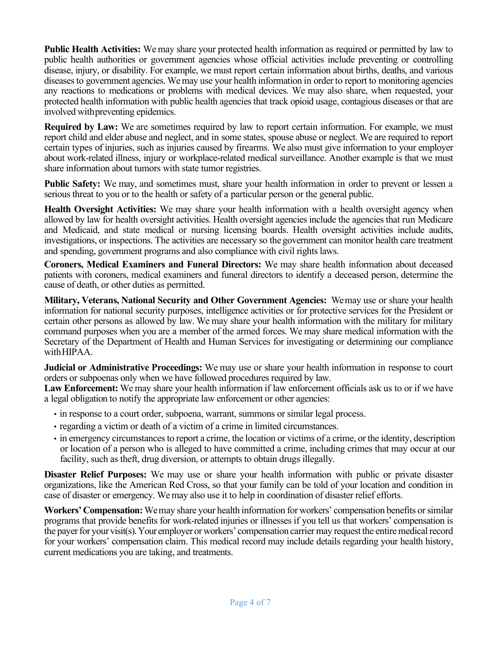**Public Health Activities:** We may share your protected health information as required or permitted by law to public health authorities or government agencies whose official activities include preventing or controlling disease, injury, or disability. For example, we must report certain information about births, deaths, and various diseases to government agencies. We may use your health information in order to report to monitoring agencies any reactions to medications or problems with medical devices. We may also share, when requested, your protected health information with public health agencies that track opioid usage, contagious diseases or that are involved withpreventing epidemics.

**Required by Law:** We are sometimes required by law to report certain information. For example, we must report child and elder abuse and neglect, and in some states, spouse abuse or neglect. We are required to report certain types of injuries, such as injuries caused by firearms. We also must give information to your employer about work-related illness, injury or workplace-related medical surveillance. Another example is that we must share information about tumors with state tumor registries.

**Public Safety:** We may, and sometimes must, share your health information in order to prevent or lessen a serious threat to you or to the health or safety of a particular person or the general public.

**Health Oversight Activities:** We may share your health information with a health oversight agency when allowed by law for health oversight activities. Health oversight agencies include the agencies that run Medicare and Medicaid, and state medical or nursing licensing boards. Health oversight activities include audits, investigations, or inspections. The activities are necessary so the government can monitor health care treatment and spending, government programs and also compliance with civil rights laws.

**Coroners, Medical Examiners and Funeral Directors:** We may share health information about deceased patients with coroners, medical examiners and funeral directors to identify a deceased person, determine the cause of death, or other duties as permitted.

**Military, Veterans, National Security and Other Government Agencies:** We may use or share your health information for national security purposes, intelligence activities or for protective services for the President or certain other persons as allowed by law. We may share your health information with the military for military command purposes when you are a member of the armed forces. We may share medical information with the Secretary of the Department of Health and Human Services for investigating or determining our compliance with HIPAA.

**Judicial or Administrative Proceedings:** We may use or share your health information in response to court orders or subpoenas only when we have followed procedures required by law.

**Law Enforcement:** We may share your health information if law enforcement officials ask us to or if we have a legal obligation to notify the appropriate law enforcement or other agencies:

- in response to a court order, subpoena, warrant, summons or similar legal process.
- regarding a victim or death of a victim of a crime in limited circumstances.
- in emergency circumstances to report a crime, the location or victims of a crime, or the identity, description or location of a person who is alleged to have committed a crime, including crimes that may occur at our facility, such as theft, drug diversion, or attempts to obtain drugs illegally.

**Disaster Relief Purposes:** We may use or share your health information with public or private disaster organizations, like the American Red Cross, so that your family can be told of your location and condition in case of disaster or emergency. We may also use it to help in coordination of disaster relief efforts.

**Workers' Compensation:** We may share your health information for workers' compensation benefits or similar programs that provide benefits for work-related injuries or illnesses if you tell us that workers' compensation is the payer for your visit(s). Your employer or workers' compensation carrier may request the entire medical record for your workers' compensation claim. This medical record may include details regarding your health history, current medications you are taking, and treatments.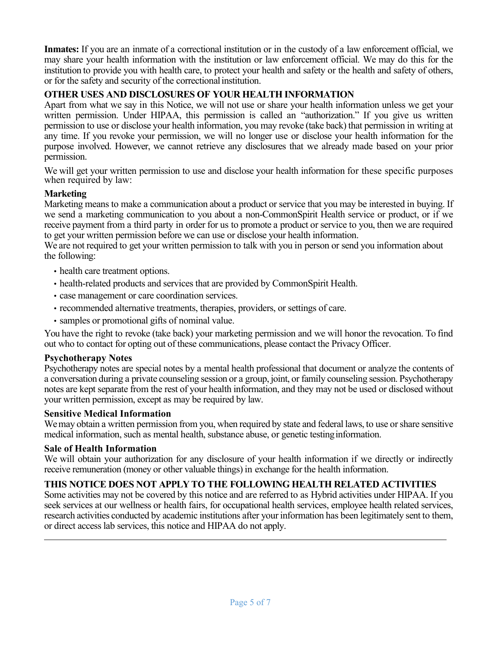**Inmates:** If you are an inmate of a correctional institution or in the custody of a law enforcement official, we may share your health information with the institution or law enforcement official. We may do this for the institution to provide you with health care, to protect your health and safety or the health and safety of others, or for the safety and security of the correctionalinstitution.

# **OTHER USES AND DISCLOSURES OF YOUR HEALTH INFORMATION**

Apart from what we say in this Notice, we will not use or share your health information unless we get your written permission. Under HIPAA, this permission is called an "authorization." If you give us written permission to use or disclose your health information, you may revoke (take back) that permission in writing at any time. If you revoke your permission, we will no longer use or disclose your health information for the purpose involved. However, we cannot retrieve any disclosures that we already made based on your prior permission.

We will get your written permission to use and disclose your health information for these specific purposes when required by law:

## **Marketing**

Marketing means to make a communication about a product or service that you may be interested in buying. If we send a marketing communication to you about a non-CommonSpirit Health service or product, or if we receive payment from a third party in order for us to promote a product or service to you, then we are required to get your written permission before we can use or disclose your health information.

We are not required to get your written permission to talk with you in person or send you information about the following:

- health care treatment options.
- health-related products and services that are provided by CommonSpirit Health.
- case management or care coordination services.
- recommended alternative treatments, therapies, providers, or settings of care.
- samples or promotional gifts of nominal value.

You have the right to revoke (take back) your marketing permission and we will honor the revocation. To find out who to contact for opting out of these communications, please contact the Privacy Officer.

#### **Psychotherapy Notes**

Psychotherapy notes are special notes by a mental health professional that document or analyze the contents of a conversation during a private counseling session or a group, joint, or family counseling session. Psychotherapy notes are kept separate from the rest of your health information, and they may not be used or disclosed without your written permission, except as may be required by law.

#### **Sensitive Medical Information**

We may obtain a written permission from you, when required by state and federal laws, to use or share sensitive medical information, such as mental health, substance abuse, or genetic testinginformation.

#### **Sale of Health Information**

We will obtain your authorization for any disclosure of your health information if we directly or indirectly receive remuneration (money or other valuable things) in exchange for the health information.

## **THIS NOTICE DOES NOT APPLY TO THE FOLLOWING HEALTH RELATED ACTIVITIES**

Some activities may not be covered by this notice and are referred to as Hybrid activities under HIPAA. If you seek services at our wellness or health fairs, for occupational health services, employee health related services, research activities conducted by academic institutions after your information has been legitimately sent to them, or direct access lab services, this notice and HIPAA do not apply.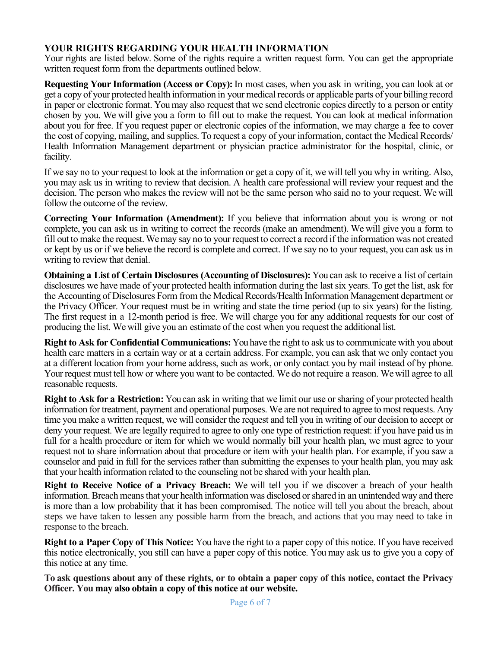# **YOUR RIGHTS REGARDING YOUR HEALTH INFORMATION**

Your rights are listed below. Some of the rights require a written request form. You can get the appropriate written request form from the departments outlined below.

**Requesting Your Information (Access or Copy):** In most cases, when you ask in writing, you can look at or get a copy of your protected health information in your medical records or applicable parts of your billing record in paper or electronic format. You may also request that we send electronic copies directly to a person or entity chosen by you. We will give you a form to fill out to make the request. You can look at medical information about you for free. If you request paper or electronic copies of the information, we may charge a fee to cover the cost of copying, mailing, and supplies. To request a copy of your information, contact the Medical Records/ Health Information Management department or physician practice administrator for the hospital, clinic, or facility.

If we say no to your request to look at the information or get a copy of it, we will tell you why in writing. Also, you may ask us in writing to review that decision. A health care professional will review your request and the decision. The person who makes the review will not be the same person who said no to your request. We will follow the outcome of the review.

**Correcting Your Information (Amendment):** If you believe that information about you is wrong or not complete, you can ask us in writing to correct the records (make an amendment). We will give you a form to fill out to make the request. We may say no to your request to correct a record if the information was not created or kept by us or if we believe the record is complete and correct. If we say no to your request, you can ask usin writing to review that denial.

**Obtaining a List of Certain Disclosures (Accounting of Disclosures):** You can ask to receive a list of certain disclosures we have made of your protected health information during the last six years. To get the list, ask for the Accounting of Disclosures Form from the Medical Records/Health Information Management department or the Privacy Officer. Your request must be in writing and state the time period (up to six years) for the listing. The first request in a 12-month period is free. We will charge you for any additional requests for our cost of producing the list. We will give you an estimate of the cost when you request the additional list.

**Right to Ask for Confidential Communications:** You have the right to ask us to communicate with you about health care matters in a certain way or at a certain address. For example, you can ask that we only contact you at a different location from your home address, such as work, or only contact you by mail instead of by phone. Your request must tell how or where you want to be contacted. We do not require a reason. We will agree to all reasonable requests.

**Right to Ask for a Restriction:** You can ask in writing that we limit our use or sharing of your protected health information for treatment, payment and operational purposes. We are not required to agree to most requests. Any time you make a written request, we will consider the request and tell you in writing of our decision to accept or deny your request. We are legally required to agree to only one type of restriction request: if you have paid us in full for a health procedure or item for which we would normally bill your health plan, we must agree to your request not to share information about that procedure or item with your health plan. For example, if you saw a counselor and paid in full for the services rather than submitting the expenses to your health plan, you may ask that your health information related to the counseling not be shared with your health plan.

**Right to Receive Notice of a Privacy Breach:** We will tell you if we discover a breach of your health information. Breach means that your health information was disclosed or shared in an unintended way and there is more than a low probability that it has been compromised. The notice will tell you about the breach, about steps we have taken to lessen any possible harm from the breach, and actions that you may need to take in response to the breach.

**Right to a Paper Copy of This Notice:** You have the right to a paper copy of this notice. If you have received this notice electronically, you still can have a paper copy of this notice. You may ask us to give you a copy of this notice at any time.

**To ask questions about any of these rights, or to obtain a paper copy of this notice, contact the Privacy Officer. You may also obtain a copy of this notice at our website.**